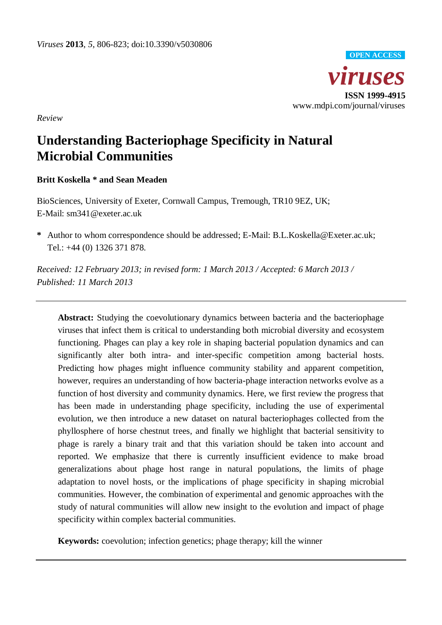

*Review*

# **Understanding Bacteriophage Specificity in Natural Microbial Communities**

## **Britt Koskella \* and Sean Meaden**

BioSciences, University of Exeter, Cornwall Campus, Tremough, TR10 9EZ, UK; E-Mail: sm341@exeter.ac.uk

**\*** Author to whom correspondence should be addressed; E-Mail: B.L.Koskella@Exeter.ac.uk; Tel.: +44 (0) 1326 371 878.

*Received: 12 February 2013; in revised form: 1 March 2013 / Accepted: 6 March 2013 / Published: 11 March 2013*

**Abstract:** Studying the coevolutionary dynamics between bacteria and the bacteriophage viruses that infect them is critical to understanding both microbial diversity and ecosystem functioning. Phages can play a key role in shaping bacterial population dynamics and can significantly alter both intra- and inter-specific competition among bacterial hosts. Predicting how phages might influence community stability and apparent competition, however, requires an understanding of how bacteria-phage interaction networks evolve as a function of host diversity and community dynamics. Here, we first review the progress that has been made in understanding phage specificity, including the use of experimental evolution, we then introduce a new dataset on natural bacteriophages collected from the phyllosphere of horse chestnut trees, and finally we highlight that bacterial sensitivity to phage is rarely a binary trait and that this variation should be taken into account and reported. We emphasize that there is currently insufficient evidence to make broad generalizations about phage host range in natural populations, the limits of phage adaptation to novel hosts, or the implications of phage specificity in shaping microbial communities. However, the combination of experimental and genomic approaches with the study of natural communities will allow new insight to the evolution and impact of phage specificity within complex bacterial communities.

**Keywords:** coevolution; infection genetics; phage therapy; kill the winner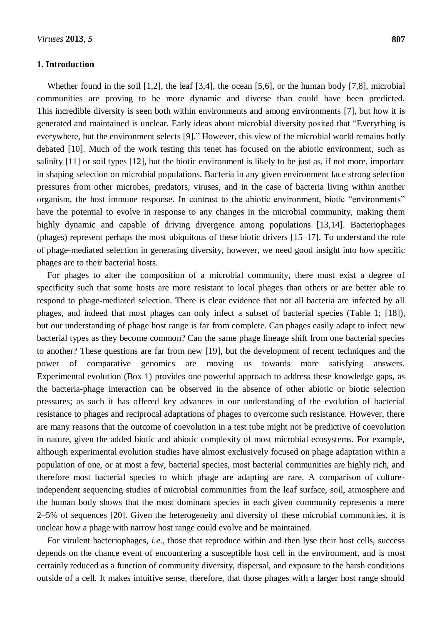### **1. Introduction**

Whether found in the soil [1,2], the leaf [3,4], the ocean [5,6], or the human body [7,8], microbial communities are proving to be more dynamic and diverse than could have been predicted. This incredible diversity is seen both within environments and among environments [7], but how it is generated and maintained is unclear. Early ideas about microbial diversity posited that "Everything is everywhere, but the environment selects [9]." However, this view of the microbial world remains hotly debated [10]. Much of the work testing this tenet has focused on the abiotic environment, such as salinity [11] or soil types [12], but the biotic environment is likely to be just as, if not more, important in shaping selection on microbial populations. Bacteria in any given environment face strong selection pressures from other microbes, predators, viruses, and in the case of bacteria living within another organism, the host immune response. In contrast to the abiotic environment, biotic "environments" have the potential to evolve in response to any changes in the microbial community, making them highly dynamic and capable of driving divergence among populations [13,14]. Bacteriophages (phages) represent perhaps the most ubiquitous of these biotic drivers [15–17]. To understand the role of phage-mediated selection in generating diversity, however, we need good insight into how specific phages are to their bacterial hosts.

For phages to alter the composition of a microbial community, there must exist a degree of specificity such that some hosts are more resistant to local phages than others or are better able to respond to phage-mediated selection. There is clear evidence that not all bacteria are infected by all phages, and indeed that most phages can only infect a subset of bacterial species (Table 1; [18]), but our understanding of phage host range is far from complete. Can phages easily adapt to infect new bacterial types as they become common? Can the same phage lineage shift from one bacterial species to another? These questions are far from new [19], but the development of recent techniques and the power of comparative genomics are moving us towards more satisfying answers. Experimental evolution (Box 1) provides one powerful approach to address these knowledge gaps, as the bacteria-phage interaction can be observed in the absence of other abiotic or biotic selection pressures; as such it has offered key advances in our understanding of the evolution of bacterial resistance to phages and reciprocal adaptations of phages to overcome such resistance. However, there are many reasons that the outcome of coevolution in a test tube might not be predictive of coevolution in nature, given the added biotic and abiotic complexity of most microbial ecosystems. For example, although experimental evolution studies have almost exclusively focused on phage adaptation within a population of one, or at most a few, bacterial species, most bacterial communities are highly rich, and therefore most bacterial species to which phage are adapting are rare. A comparison of cultureindependent sequencing studies of microbial communities from the leaf surface, soil, atmosphere and the human body shows that the most dominant species in each given community represents a mere 2–5% of sequences [20]. Given the heterogeneity and diversity of these microbial communities, it is unclear how a phage with narrow host range could evolve and be maintained.

For virulent bacteriophages, *i.e.*, those that reproduce within and then lyse their host cells, success depends on the chance event of encountering a susceptible host cell in the environment, and is most certainly reduced as a function of community diversity, dispersal, and exposure to the harsh conditions outside of a cell. It makes intuitive sense, therefore, that those phages with a larger host range should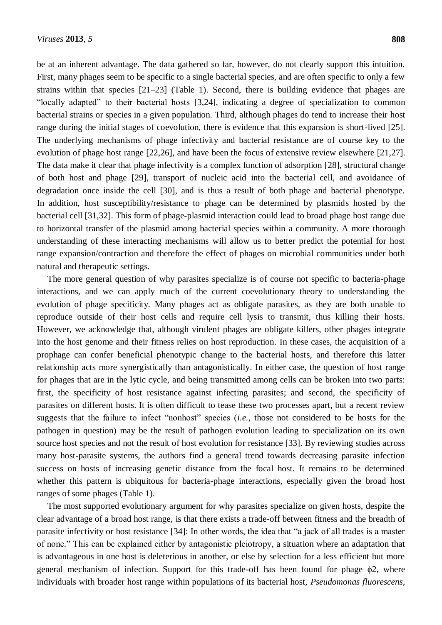be at an inherent advantage. The data gathered so far, however, do not clearly support this intuition. First, many phages seem to be specific to a single bacterial species, and are often specific to only a few strains within that species [21–23] (Table 1). Second, there is building evidence that phages are "locally adapted" to their bacterial hosts [3,24], indicating a degree of specialization to common bacterial strains or species in a given population. Third, although phages do tend to increase their host range during the initial stages of coevolution, there is evidence that this expansion is short-lived [25]. The underlying mechanisms of phage infectivity and bacterial resistance are of course key to the evolution of phage host range [22,26], and have been the focus of extensive review elsewhere [21,27]. The data make it clear that phage infectivity is a complex function of adsorption [28], structural change of both host and phage [29], transport of nucleic acid into the bacterial cell, and avoidance of degradation once inside the cell [30], and is thus a result of both phage and bacterial phenotype. In addition, host susceptibility/resistance to phage can be determined by plasmids hosted by the bacterial cell [31,32]. This form of phage-plasmid interaction could lead to broad phage host range due to horizontal transfer of the plasmid among bacterial species within a community. A more thorough understanding of these interacting mechanisms will allow us to better predict the potential for host range expansion/contraction and therefore the effect of phages on microbial communities under both natural and therapeutic settings.

The more general question of why parasites specialize is of course not specific to bacteria-phage interactions, and we can apply much of the current coevolutionary theory to understanding the evolution of phage specificity. Many phages act as obligate parasites, as they are both unable to reproduce outside of their host cells and require cell lysis to transmit, thus killing their hosts. However, we acknowledge that, although virulent phages are obligate killers, other phages integrate into the host genome and their fitness relies on host reproduction. In these cases, the acquisition of a prophage can confer beneficial phenotypic change to the bacterial hosts, and therefore this latter relationship acts more synergistically than antagonistically. In either case, the question of host range for phages that are in the lytic cycle, and being transmitted among cells can be broken into two parts: first, the specificity of host resistance against infecting parasites; and second, the specificity of parasites on different hosts. It is often difficult to tease these two processes apart, but a recent review suggests that the failure to infect "nonhost" species (*i.e.*, those not considered to be hosts for the pathogen in question) may be the result of pathogen evolution leading to specialization on its own source host species and not the result of host evolution for resistance [33]. By reviewing studies across many host-parasite systems, the authors find a general trend towards decreasing parasite infection success on hosts of increasing genetic distance from the focal host. It remains to be determined whether this pattern is ubiquitous for bacteria-phage interactions, especially given the broad host ranges of some phages (Table 1).

The most supported evolutionary argument for why parasites specialize on given hosts, despite the clear advantage of a broad host range, is that there exists a trade-off between fitness and the breadth of parasite infectivity or host resistance [34]: In other words, the idea that "a jack of all trades is a master of none." This can be explained either by antagonistic pleiotropy, a situation where an adaptation that is advantageous in one host is deleterious in another, or else by selection for a less efficient but more general mechanism of infection. Support for this trade-off has been found for phage  $\phi$ 2, where individuals with broader host range within populations of its bacterial host, *Pseudomonas fluorescens,*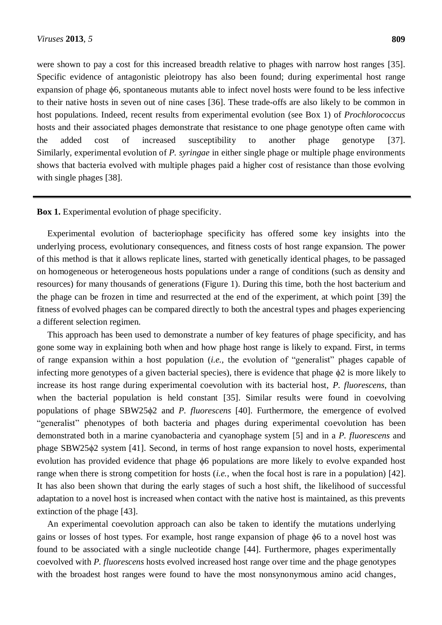were shown to pay a cost for this increased breadth relative to phages with narrow host ranges [35]. Specific evidence of antagonistic pleiotropy has also been found; during experimental host range expansion of phage ϕ6, spontaneous mutants able to infect novel hosts were found to be less infective to their native hosts in seven out of nine cases [36]. These trade-offs are also likely to be common in host populations. Indeed, recent results from experimental evolution (see Box 1) of *Prochlorococcus*  hosts and their associated phages demonstrate that resistance to one phage genotype often came with the added cost of increased susceptibility to another phage genotype [37]. Similarly, experimental evolution of *P. syringae* in either single phage or multiple phage environments shows that bacteria evolved with multiple phages paid a higher cost of resistance than those evolving with single phages [38].

## **Box 1.** Experimental evolution of phage specificity.

Experimental evolution of bacteriophage specificity has offered some key insights into the underlying process, evolutionary consequences, and fitness costs of host range expansion. The power of this method is that it allows replicate lines, started with genetically identical phages, to be passaged on homogeneous or heterogeneous hosts populations under a range of conditions (such as density and resources) for many thousands of generations (Figure 1). During this time, both the host bacterium and the phage can be frozen in time and resurrected at the end of the experiment, at which point [39] the fitness of evolved phages can be compared directly to both the ancestral types and phages experiencing a different selection regimen.

This approach has been used to demonstrate a number of key features of phage specificity, and has gone some way in explaining both when and how phage host range is likely to expand. First, in terms of range expansion within a host population (*i.e.*, the evolution of "generalist" phages capable of infecting more genotypes of a given bacterial species), there is evidence that phage ϕ2 is more likely to increase its host range during experimental coevolution with its bacterial host, *P. fluorescens*, than when the bacterial population is held constant [35]. Similar results were found in coevolving populations of phage SBW25ϕ2 and *P. fluorescens* [40]. Furthermore, the emergence of evolved "generalist" phenotypes of both bacteria and phages during experimental coevolution has been demonstrated both in a marine cyanobacteria and cyanophage system [5] and in a *P. fluorescens* and phage SBW25ϕ2 system [41]. Second, in terms of host range expansion to novel hosts, experimental evolution has provided evidence that phage ϕ6 populations are more likely to evolve expanded host range when there is strong competition for hosts (*i.e.*, when the focal host is rare in a population) [42]. It has also been shown that during the early stages of such a host shift, the likelihood of successful adaptation to a novel host is increased when contact with the native host is maintained, as this prevents extinction of the phage [43].

An experimental coevolution approach can also be taken to identify the mutations underlying gains or losses of host types. For example, host range expansion of phage ϕ6 to a novel host was found to be associated with a single nucleotide change [44]. Furthermore, phages experimentally coevolved with *P. fluorescens* hosts evolved increased host range over time and the phage genotypes with the broadest host ranges were found to have the most nonsynonymous amino acid changes,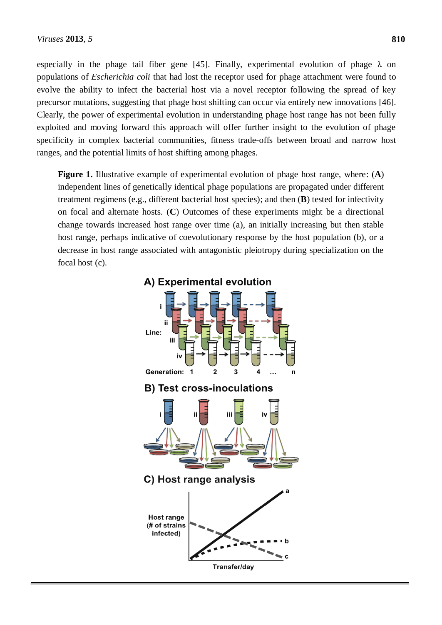especially in the phage tail fiber gene [45]. Finally, experimental evolution of phage  $\lambda$  on populations of *Escherichia coli* that had lost the receptor used for phage attachment were found to evolve the ability to infect the bacterial host via a novel receptor following the spread of key precursor mutations, suggesting that phage host shifting can occur via entirely new innovations [46]. Clearly, the power of experimental evolution in understanding phage host range has not been fully exploited and moving forward this approach will offer further insight to the evolution of phage specificity in complex bacterial communities, fitness trade-offs between broad and narrow host ranges, and the potential limits of host shifting among phages.

**Figure 1.** Illustrative example of experimental evolution of phage host range, where: (**A**) independent lines of genetically identical phage populations are propagated under different treatment regimens (e.g., different bacterial host species); and then (**B**) tested for infectivity on focal and alternate hosts. (**C**) Outcomes of these experiments might be a directional change towards increased host range over time (a), an initially increasing but then stable host range, perhaps indicative of coevolutionary response by the host population (b), or a decrease in host range associated with antagonistic pleiotropy during specialization on the focal host (c).

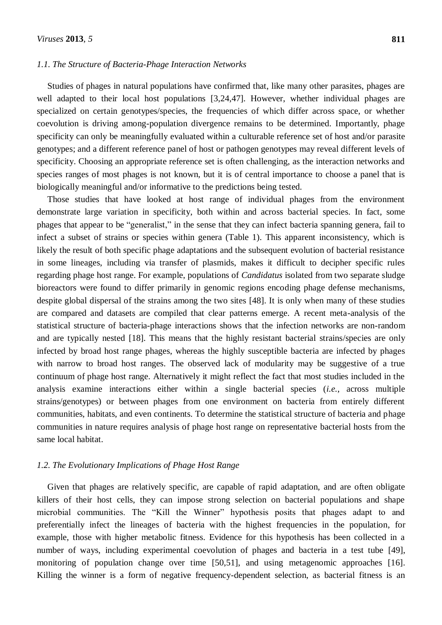#### *1.1. The Structure of Bacteria-Phage Interaction Networks*

Studies of phages in natural populations have confirmed that, like many other parasites, phages are well adapted to their local host populations [3,24,47]. However, whether individual phages are specialized on certain genotypes/species, the frequencies of which differ across space, or whether coevolution is driving among-population divergence remains to be determined. Importantly, phage specificity can only be meaningfully evaluated within a culturable reference set of host and/or parasite genotypes; and a different reference panel of host or pathogen genotypes may reveal different levels of specificity. Choosing an appropriate reference set is often challenging, as the interaction networks and species ranges of most phages is not known, but it is of central importance to choose a panel that is biologically meaningful and/or informative to the predictions being tested.

Those studies that have looked at host range of individual phages from the environment demonstrate large variation in specificity, both within and across bacterial species. In fact, some phages that appear to be "generalist," in the sense that they can infect bacteria spanning genera, fail to infect a subset of strains or species within genera (Table 1). This apparent inconsistency, which is likely the result of both specific phage adaptations and the subsequent evolution of bacterial resistance in some lineages, including via transfer of plasmids, makes it difficult to decipher specific rules regarding phage host range. For example, populations of *Candidatus* isolated from two separate sludge bioreactors were found to differ primarily in genomic regions encoding phage defense mechanisms, despite global dispersal of the strains among the two sites [48]. It is only when many of these studies are compared and datasets are compiled that clear patterns emerge. A recent meta-analysis of the statistical structure of bacteria-phage interactions shows that the infection networks are non-random and are typically nested [18]. This means that the highly resistant bacterial strains/species are only infected by broad host range phages, whereas the highly susceptible bacteria are infected by phages with narrow to broad host ranges. The observed lack of modularity may be suggestive of a true continuum of phage host range. Alternatively it might reflect the fact that most studies included in the analysis examine interactions either within a single bacterial species (*i.e.*, across multiple strains/genotypes) or between phages from one environment on bacteria from entirely different communities, habitats, and even continents. To determine the statistical structure of bacteria and phage communities in nature requires analysis of phage host range on representative bacterial hosts from the same local habitat.

## *1.2. The Evolutionary Implications of Phage Host Range*

Given that phages are relatively specific, are capable of rapid adaptation, and are often obligate killers of their host cells, they can impose strong selection on bacterial populations and shape microbial communities. The "Kill the Winner" hypothesis posits that phages adapt to and preferentially infect the lineages of bacteria with the highest frequencies in the population, for example, those with higher metabolic fitness. Evidence for this hypothesis has been collected in a number of ways, including experimental coevolution of phages and bacteria in a test tube [49], monitoring of population change over time [50,51], and using metagenomic approaches [16]. Killing the winner is a form of negative frequency-dependent selection, as bacterial fitness is an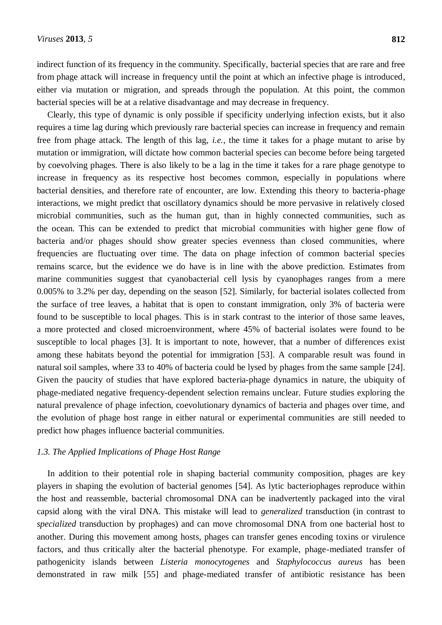indirect function of its frequency in the community. Specifically, bacterial species that are rare and free from phage attack will increase in frequency until the point at which an infective phage is introduced, either via mutation or migration, and spreads through the population. At this point, the common bacterial species will be at a relative disadvantage and may decrease in frequency.

Clearly, this type of dynamic is only possible if specificity underlying infection exists, but it also requires a time lag during which previously rare bacterial species can increase in frequency and remain free from phage attack. The length of this lag, *i.e.*, the time it takes for a phage mutant to arise by mutation or immigration, will dictate how common bacterial species can become before being targeted by coevolving phages. There is also likely to be a lag in the time it takes for a rare phage genotype to increase in frequency as its respective host becomes common, especially in populations where bacterial densities, and therefore rate of encounter, are low. Extending this theory to bacteria-phage interactions, we might predict that oscillatory dynamics should be more pervasive in relatively closed microbial communities, such as the human gut, than in highly connected communities, such as the ocean. This can be extended to predict that microbial communities with higher gene flow of bacteria and/or phages should show greater species evenness than closed communities, where frequencies are fluctuating over time. The data on phage infection of common bacterial species remains scarce, but the evidence we do have is in line with the above prediction. Estimates from marine communities suggest that cyanobacterial cell lysis by cyanophages ranges from a mere 0.005% to 3.2% per day, depending on the season [52]. Similarly, for bacterial isolates collected from the surface of tree leaves, a habitat that is open to constant immigration, only 3% of bacteria were found to be susceptible to local phages. This is in stark contrast to the interior of those same leaves, a more protected and closed microenvironment, where 45% of bacterial isolates were found to be susceptible to local phages [3]. It is important to note, however, that a number of differences exist among these habitats beyond the potential for immigration [53]. A comparable result was found in natural soil samples, where 33 to 40% of bacteria could be lysed by phages from the same sample [24]. Given the paucity of studies that have explored bacteria-phage dynamics in nature, the ubiquity of phage-mediated negative frequency-dependent selection remains unclear. Future studies exploring the natural prevalence of phage infection, coevolutionary dynamics of bacteria and phages over time, and the evolution of phage host range in either natural or experimental communities are still needed to predict how phages influence bacterial communities.

## *1.3. The Applied Implications of Phage Host Range*

In addition to their potential role in shaping bacterial community composition, phages are key players in shaping the evolution of bacterial genomes [54]. As lytic bacteriophages reproduce within the host and reassemble, bacterial chromosomal DNA can be inadvertently packaged into the viral capsid along with the viral DNA. This mistake will lead to *generalized* transduction (in contrast to *specialized* transduction by prophages) and can move chromosomal DNA from one bacterial host to another. During this movement among hosts, phages can transfer genes encoding toxins or virulence factors, and thus critically alter the bacterial phenotype. For example, phage-mediated transfer of pathogenicity islands between *Listeria monocytogenes* and *Staphylococcus aureus* has been demonstrated in raw milk [55] and phage-mediated transfer of antibiotic resistance has been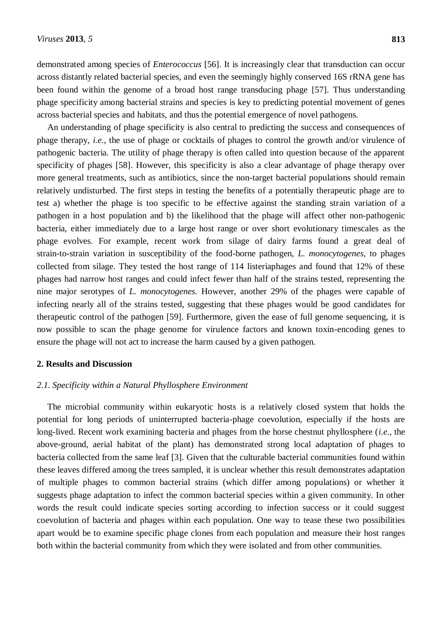demonstrated among species of *Enterococcus* [56]. It is increasingly clear that transduction can occur across distantly related bacterial species, and even the seemingly highly conserved 16S rRNA gene has been found within the genome of a broad host range transducing phage [57]. Thus understanding phage specificity among bacterial strains and species is key to predicting potential movement of genes across bacterial species and habitats, and thus the potential emergence of novel pathogens.

An understanding of phage specificity is also central to predicting the success and consequences of phage therapy, *i.e.*, the use of phage or cocktails of phages to control the growth and/or virulence of pathogenic bacteria. The utility of phage therapy is often called into question because of the apparent specificity of phages [58]. However, this specificity is also a clear advantage of phage therapy over more general treatments, such as antibiotics, since the non-target bacterial populations should remain relatively undisturbed. The first steps in testing the benefits of a potentially therapeutic phage are to test a) whether the phage is too specific to be effective against the standing strain variation of a pathogen in a host population and b) the likelihood that the phage will affect other non-pathogenic bacteria, either immediately due to a large host range or over short evolutionary timescales as the phage evolves. For example, recent work from silage of dairy farms found a great deal of strain-to-strain variation in susceptibility of the food-borne pathogen, *L. monocytogenes,* to phages collected from silage. They tested the host range of 114 listeriaphages and found that 12% of these phages had narrow host ranges and could infect fewer than half of the strains tested, representing the nine major serotypes of *L. monocytogenes.* However, another 29% of the phages were capable of infecting nearly all of the strains tested, suggesting that these phages would be good candidates for therapeutic control of the pathogen [59]. Furthermore, given the ease of full genome sequencing, it is now possible to scan the phage genome for virulence factors and known toxin-encoding genes to ensure the phage will not act to increase the harm caused by a given pathogen.

## **2. Results and Discussion**

#### *2.1. Specificity within a Natural Phyllosphere Environment*

The microbial community within eukaryotic hosts is a relatively closed system that holds the potential for long periods of uninterrupted bacteria-phage coevolution, especially if the hosts are long-lived. Recent work examining bacteria and phages from the horse chestnut phyllosphere (*i.e.*, the above-ground, aerial habitat of the plant) has demonstrated strong local adaptation of phages to bacteria collected from the same leaf [3]. Given that the culturable bacterial communities found within these leaves differed among the trees sampled, it is unclear whether this result demonstrates adaptation of multiple phages to common bacterial strains (which differ among populations) or whether it suggests phage adaptation to infect the common bacterial species within a given community. In other words the result could indicate species sorting according to infection success or it could suggest coevolution of bacteria and phages within each population. One way to tease these two possibilities apart would be to examine specific phage clones from each population and measure their host ranges both within the bacterial community from which they were isolated and from other communities.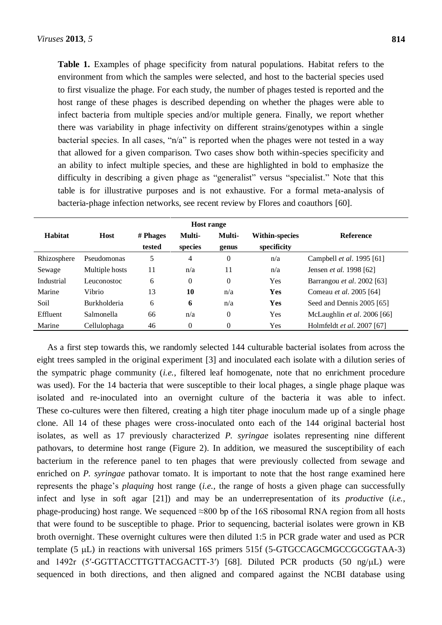**Table 1.** Examples of phage specificity from natural populations. Habitat refers to the environment from which the samples were selected, and host to the bacterial species used to first visualize the phage. For each study, the number of phages tested is reported and the host range of these phages is described depending on whether the phages were able to infect bacteria from multiple species and/or multiple genera. Finally, we report whether there was variability in phage infectivity on different strains/genotypes within a single bacterial species. In all cases, "n/a" is reported when the phages were not tested in a way that allowed for a given comparison. Two cases show both within-species specificity and an ability to infect multiple species, and these are highlighted in bold to emphasize the difficulty in describing a given phage as "generalist" versus "specialist." Note that this table is for illustrative purposes and is not exhaustive. For a formal meta-analysis of bacteria-phage infection networks, see recent review by Flores and coauthors [60].

| <b>Host range</b> |                     |          |                |               |                       |                                    |  |  |  |  |  |  |
|-------------------|---------------------|----------|----------------|---------------|-----------------------|------------------------------------|--|--|--|--|--|--|
| <b>Habitat</b>    | <b>Host</b>         | # Phages | Multi-         | <b>Multi-</b> | <b>Within-species</b> | <b>Reference</b>                   |  |  |  |  |  |  |
|                   |                     | tested   | species        | genus         | specificity           |                                    |  |  |  |  |  |  |
| Rhizosphere       | Pseudomonas         | 5        | $\overline{4}$ | $\theta$      | n/a                   | Campbell <i>et al.</i> 1995 [61]   |  |  |  |  |  |  |
| Sewage            | Multiple hosts      | 11       | n/a            | 11            | n/a                   | Jensen et al. 1998 [62]            |  |  |  |  |  |  |
| Industrial        | Leuconostoc         | 6        | 0              | $\Omega$      | Yes                   | Barrangou et al. 2002 [63]         |  |  |  |  |  |  |
| Marine            | Vibrio              | 13       | 10             | n/a           | <b>Yes</b>            | Comeau et al. 2005 [64]            |  |  |  |  |  |  |
| Soil              | <b>Burkholderia</b> | 6        | 6              | n/a           | <b>Yes</b>            | Seed and Dennis 2005 [65]          |  |  |  |  |  |  |
| Effluent          | Salmonella          | 66       | n/a            | $\Omega$      | Yes                   | McLaughlin <i>et al.</i> 2006 [66] |  |  |  |  |  |  |
| Marine            | Cellulophaga        | 46       | $\theta$       | $\theta$      | Yes                   | Holmfeldt et al. 2007 [67]         |  |  |  |  |  |  |

As a first step towards this, we randomly selected 144 culturable bacterial isolates from across the eight trees sampled in the original experiment [3] and inoculated each isolate with a dilution series of the sympatric phage community (*i.e.*, filtered leaf homogenate, note that no enrichment procedure was used). For the 14 bacteria that were susceptible to their local phages, a single phage plaque was isolated and re-inoculated into an overnight culture of the bacteria it was able to infect. These co-cultures were then filtered, creating a high titer phage inoculum made up of a single phage clone. All 14 of these phages were cross-inoculated onto each of the 144 original bacterial host isolates, as well as 17 previously characterized *P. syringae* isolates representing nine different pathovars, to determine host range (Figure 2). In addition, we measured the susceptibility of each bacterium in the reference panel to ten phages that were previously collected from sewage and enriched on *P. syringae* pathovar tomato. It is important to note that the host range examined here represents the phage's *plaquing* host range (*i.e.,* the range of hosts a given phage can successfully infect and lyse in soft agar [21]) and may be an underrepresentation of its *productive* (*i.e.*, phage-producing) host range. We sequenced  $\approx 800$  bp of the 16S ribosomal RNA region from all hosts that were found to be susceptible to phage. Prior to sequencing, bacterial isolates were grown in KB broth overnight. These overnight cultures were then diluted 1:5 in PCR grade water and used as PCR template  $(5 \mu L)$  in reactions with universal 16S primers 515f  $(5\text{-}GTGCCAGCMGCCGGCTAA-3)$ and 1492r (5'-GGTTACCTTGTTACGACTT-3') [68]. Diluted PCR products (50 ng/ $\mu$ L) were sequenced in both directions, and then aligned and compared against the NCBI database using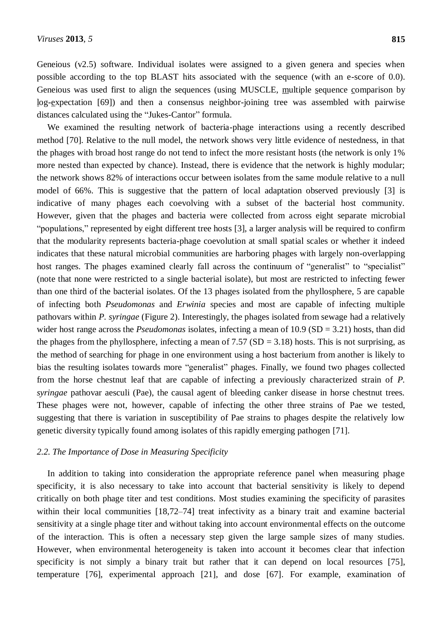Geneious (v2.5) software. Individual isolates were assigned to a given genera and species when possible according to the top BLAST hits associated with the sequence (with an e-score of 0.0). Geneious was used first to align the sequences (using MUSCLE, multiple sequence comparison by log-expectation [69]) and then a consensus neighbor-joining tree was assembled with pairwise distances calculated using the "Jukes-Cantor" formula.

We examined the resulting network of bacteria-phage interactions using a recently described method [70]. Relative to the null model, the network shows very little evidence of nestedness, in that the phages with broad host range do not tend to infect the more resistant hosts (the network is only 1% more nested than expected by chance). Instead, there is evidence that the network is highly modular; the network shows 82% of interactions occur between isolates from the same module relative to a null model of 66%. This is suggestive that the pattern of local adaptation observed previously [3] is indicative of many phages each coevolving with a subset of the bacterial host community. However, given that the phages and bacteria were collected from across eight separate microbial "populations," represented by eight different tree hosts [3], a larger analysis will be required to confirm that the modularity represents bacteria-phage coevolution at small spatial scales or whether it indeed indicates that these natural microbial communities are harboring phages with largely non-overlapping host ranges. The phages examined clearly fall across the continuum of "generalist" to "specialist" (note that none were restricted to a single bacterial isolate), but most are restricted to infecting fewer than one third of the bacterial isolates. Of the 13 phages isolated from the phyllosphere, 5 are capable of infecting both *Pseudomonas* and *Erwinia* species and most are capable of infecting multiple pathovars within *P. syringae* (Figure 2). Interestingly, the phages isolated from sewage had a relatively wider host range across the *Pseudomonas* isolates, infecting a mean of 10.9 (SD = 3.21) hosts, than did the phages from the phyllosphere, infecting a mean of 7.57 (SD = 3.18) hosts. This is not surprising, as the method of searching for phage in one environment using a host bacterium from another is likely to bias the resulting isolates towards more "generalist" phages. Finally, we found two phages collected from the horse chestnut leaf that are capable of infecting a previously characterized strain of *P. syringae* pathovar aesculi (Pae), the causal agent of bleeding canker disease in horse chestnut trees. These phages were not, however, capable of infecting the other three strains of Pae we tested, suggesting that there is variation in susceptibility of Pae strains to phages despite the relatively low genetic diversity typically found among isolates of this rapidly emerging pathogen [71].

## *2.2. The Importance of Dose in Measuring Specificity*

In addition to taking into consideration the appropriate reference panel when measuring phage specificity, it is also necessary to take into account that bacterial sensitivity is likely to depend critically on both phage titer and test conditions. Most studies examining the specificity of parasites within their local communities [18,72–74] treat infectivity as a binary trait and examine bacterial sensitivity at a single phage titer and without taking into account environmental effects on the outcome of the interaction. This is often a necessary step given the large sample sizes of many studies. However, when environmental heterogeneity is taken into account it becomes clear that infection specificity is not simply a binary trait but rather that it can depend on local resources [75], temperature [76], experimental approach [21], and dose [67]. For example, examination of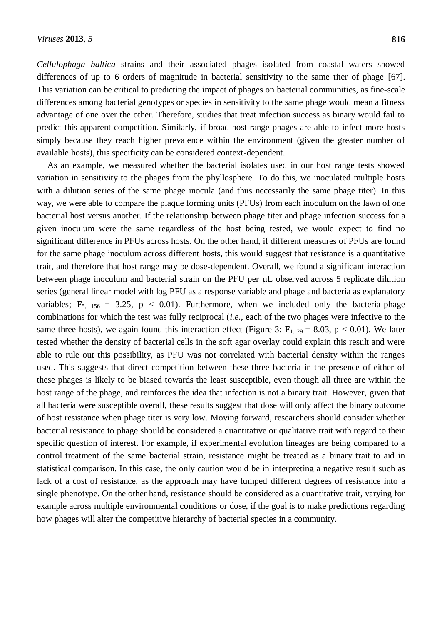*Cellulophaga baltica* strains and their associated phages isolated from coastal waters showed differences of up to 6 orders of magnitude in bacterial sensitivity to the same titer of phage [67]. This variation can be critical to predicting the impact of phages on bacterial communities, as fine-scale differences among bacterial genotypes or species in sensitivity to the same phage would mean a fitness advantage of one over the other. Therefore, studies that treat infection success as binary would fail to predict this apparent competition. Similarly, if broad host range phages are able to infect more hosts simply because they reach higher prevalence within the environment (given the greater number of available hosts), this specificity can be considered context-dependent.

As an example, we measured whether the bacterial isolates used in our host range tests showed variation in sensitivity to the phages from the phyllosphere. To do this, we inoculated multiple hosts with a dilution series of the same phage inocula (and thus necessarily the same phage titer). In this way, we were able to compare the plaque forming units (PFUs) from each inoculum on the lawn of one bacterial host versus another. If the relationship between phage titer and phage infection success for a given inoculum were the same regardless of the host being tested, we would expect to find no significant difference in PFUs across hosts. On the other hand, if different measures of PFUs are found for the same phage inoculum across different hosts, this would suggest that resistance is a quantitative trait, and therefore that host range may be dose-dependent. Overall, we found a significant interaction between phage inoculum and bacterial strain on the PFU per µL observed across 5 replicate dilution series (general linear model with log PFU as a response variable and phage and bacteria as explanatory variables;  $F_{5, 156} = 3.25$ ,  $p < 0.01$ ). Furthermore, when we included only the bacteria-phage combinations for which the test was fully reciprocal (*i.e.*, each of the two phages were infective to the same three hosts), we again found this interaction effect (Figure 3;  $F_1$ ,  $_{29} = 8.03$ , p < 0.01). We later tested whether the density of bacterial cells in the soft agar overlay could explain this result and were able to rule out this possibility, as PFU was not correlated with bacterial density within the ranges used. This suggests that direct competition between these three bacteria in the presence of either of these phages is likely to be biased towards the least susceptible, even though all three are within the host range of the phage, and reinforces the idea that infection is not a binary trait. However, given that all bacteria were susceptible overall, these results suggest that dose will only affect the binary outcome of host resistance when phage titer is very low. Moving forward, researchers should consider whether bacterial resistance to phage should be considered a quantitative or qualitative trait with regard to their specific question of interest. For example, if experimental evolution lineages are being compared to a control treatment of the same bacterial strain, resistance might be treated as a binary trait to aid in statistical comparison. In this case, the only caution would be in interpreting a negative result such as lack of a cost of resistance, as the approach may have lumped different degrees of resistance into a single phenotype. On the other hand, resistance should be considered as a quantitative trait, varying for example across multiple environmental conditions or dose, if the goal is to make predictions regarding how phages will alter the competitive hierarchy of bacterial species in a community.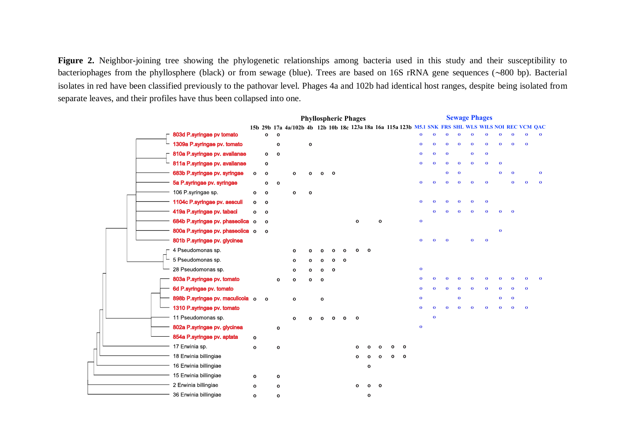Figure 2. Neighbor-joining tree showing the phylogenetic relationships among bacteria used in this study and their susceptibility to bacteriophages from the phyllosphere (black) or from sewage (blue). Trees are based on 16S rRNA gene sequences (∼800 bp). Bacterial isolates in red have been classified previously to the pathovar level. Phages 4a and 102b had identical host ranges, despite being isolated from separate leaves, and their profiles have thus been collapsed into one.

|                                  | <b>Phyllospheric Phages</b> |              |              |                                                                                                     |              |              |              |              |              |              |              | <b>Sewage Phages</b> |   |                              |                |              |              |              |              |              |              |              |
|----------------------------------|-----------------------------|--------------|--------------|-----------------------------------------------------------------------------------------------------|--------------|--------------|--------------|--------------|--------------|--------------|--------------|----------------------|---|------------------------------|----------------|--------------|--------------|--------------|--------------|--------------|--------------|--------------|
|                                  |                             |              |              | 15b 29b 17a 4a/102b 4b 12b 10b 18c 123a 18a 16a 115a 123b M5.1 SNK FRS SHL WLS WILS NOI REC VCM QAC |              |              |              |              |              |              |              |                      |   |                              |                |              |              |              |              |              |              |              |
| 803d P.syringae pv tomato        |                             | $\mathbf{o}$ | $\mathbf{o}$ |                                                                                                     |              |              |              |              |              |              |              |                      |   | $\Omega$                     |                |              |              |              |              |              |              |              |
| 1309a P.syringae pv. tomato      |                             |              | $\mathbf{o}$ |                                                                                                     | $\mathbf{o}$ |              |              |              |              |              |              |                      |   | $\bf{o}$<br>$\Omega$         | $\Omega$       | $\mathbf{o}$ | $\Omega$     | $\Omega$     | $\Omega$     | $\Omega$     | $\bf{o}$     |              |
| 810a P.syringae pv. avallanae    |                             | $\mathbf{o}$ | $\mathbf{o}$ |                                                                                                     |              |              |              |              |              |              |              |                      |   | $\overline{0}$               | $\Omega$       |              | $\mathbf{o}$ | $\mathbf{o}$ |              |              |              |              |
| 811a P.syringae pv. avallanae    |                             | $\mathbf{o}$ |              |                                                                                                     |              |              |              |              |              |              |              |                      |   | $\mathbf{o}$<br>$\mathbf{o}$ | $\mathbf{o}$   | $\mathbf{o}$ | $\mathbf{o}$ | $\mathbf{o}$ | $\mathbf{o}$ |              |              |              |
| 683b P.syringae pv. syringae     | 0                           | $\mathbf{o}$ |              | O                                                                                                   |              | o            | $\mathbf{o}$ |              |              |              |              |                      |   |                              | $\overline{0}$ | $\mathbf 0$  |              |              | $\mathbf 0$  | $\bf{o}$     |              | $\mathbf{o}$ |
| 5a P.syringae pv. syringae       |                             | o            | $\mathbf{o}$ |                                                                                                     |              |              |              |              |              |              |              |                      |   | $\Omega$<br>$\mathbf{o}$     | $\Omega$       | $\mathbf{o}$ | $\Omega$     | $\mathbf{o}$ |              | $\Omega$     | $\bf{o}$     | $\bf{o}$     |
| 106 P.syringae sp.               | 0                           | $\circ$      |              | $\mathbf{o}$                                                                                        | $\mathbf{o}$ |              |              |              |              |              |              |                      |   |                              |                |              |              |              |              |              |              |              |
| 1104c P.syringae pv. aesculi     | $\mathbf{o}$                | $\mathbf{o}$ |              |                                                                                                     |              |              |              |              |              |              |              |                      |   | $\mathbf{o}$                 |                |              | $\Omega$     | $\mathbf{o}$ |              |              |              |              |
| 419a P.syringae pv. tabaci       | $\mathbf{o}$                | $\mathbf{o}$ |              |                                                                                                     |              |              |              |              |              |              |              |                      |   |                              |                |              |              | $\Omega$     | $\Omega$     | $\mathbf{o}$ |              |              |
| 684b P.syringae pv. phaseolica o |                             | $\mathbf{o}$ |              |                                                                                                     |              |              |              |              | $\mathbf{o}$ |              | $\mathbf{o}$ |                      |   | $\mathbf{o}$                 |                |              |              |              |              |              |              |              |
| 800a P.syringae pv. phaseolica o |                             | $\circ$      |              |                                                                                                     |              |              |              |              |              |              |              |                      |   |                              |                |              |              |              | $\mathbf{o}$ |              |              |              |
| 801b P.syringae pv. glycinea     |                             |              |              |                                                                                                     |              |              |              |              |              |              |              |                      |   | $\mathbf{o}$                 | $\Omega$       |              | $\mathbf{o}$ | $\mathbf{o}$ |              |              |              |              |
| 4 Pseudomonas sp.                |                             |              |              | $\mathbf{o}$                                                                                        | O            |              |              |              | ິ            | $\mathbf{o}$ |              |                      |   |                              |                |              |              |              |              |              |              |              |
| 5 Pseudomonas sp.                |                             |              |              | $\mathbf{o}$                                                                                        | ິ            | Λ            | $\mathbf o$  | $\mathbf{o}$ |              |              |              |                      |   |                              |                |              |              |              |              |              |              |              |
| 28 Pseudomonas sp.               |                             |              |              | $\mathbf{o}$                                                                                        | o            | o            | $\mathbf{o}$ |              |              |              |              |                      |   | $\mathbf 0$                  |                |              |              |              |              |              |              |              |
| 803a P.syringae pv. tomato       |                             |              | $\mathbf{o}$ | O                                                                                                   | $\Omega$     | $\mathbf{o}$ |              |              |              |              |              |                      |   | $\bf o$                      |                |              |              |              |              |              |              |              |
| 6d P.syringae pv. tomato         |                             |              |              |                                                                                                     |              |              |              |              |              |              |              |                      |   | $\bf o$<br>$\Omega$          | $\Omega$       | $\mathbf 0$  | $\Omega$     | $\Omega$     |              | $\mathbf{o}$ | $\bf{o}$     |              |
| 898b P.syringae pv. maculicola o |                             | $\mathbf{o}$ |              | $\mathbf{o}$                                                                                        |              | $\mathbf{o}$ |              |              |              |              |              |                      |   | $\mathbf{o}$                 |                | $\mathbf{o}$ |              |              | $\bf{o}$     | $\mathbf{o}$ |              |              |
| 1310 P.syringae pv. tomato       |                             |              |              |                                                                                                     |              |              |              |              |              |              |              |                      |   | $\bf o$<br>O                 | $\Omega$       | $\mathbf{o}$ | $\Omega$     | $\mathbf{o}$ | $\mathbf{o}$ | $\mathbf{o}$ | $\mathbf{o}$ |              |
| 11 Pseudomonas sp.               |                             |              |              | $\mathbf{o}$                                                                                        |              |              |              |              | $\mathbf{o}$ |              |              |                      |   | $\mathbf 0$                  |                |              |              |              |              |              |              |              |
| 802a P.syringae pv. glycinea     |                             |              | $\mathbf{o}$ |                                                                                                     |              |              |              |              |              |              |              |                      |   | $\mathbf{o}$                 |                |              |              |              |              |              |              |              |
| 854a P.syringae pv. aptata       | $\mathbf{o}$                |              |              |                                                                                                     |              |              |              |              |              |              |              |                      |   |                              |                |              |              |              |              |              |              |              |
| 17 Erwinia sp.                   |                             |              |              |                                                                                                     |              |              |              |              |              |              |              |                      | o |                              |                |              |              |              |              |              |              |              |
| 18 Erwinia billingiae            | $\mathbf{o}$                |              | $\mathbf{o}$ |                                                                                                     |              |              |              |              |              |              |              |                      |   |                              |                |              |              |              |              |              |              |              |
|                                  |                             |              |              |                                                                                                     |              |              |              |              | $\mathbf{o}$ |              |              |                      | o |                              |                |              |              |              |              |              |              |              |
| 16 Erwinia billingiae            |                             |              |              |                                                                                                     |              |              |              |              |              | o            |              |                      |   |                              |                |              |              |              |              |              |              |              |
| 15 Erwinia billingiae            | $\mathbf{o}$                |              | $\mathbf{o}$ |                                                                                                     |              |              |              |              |              |              |              |                      |   |                              |                |              |              |              |              |              |              |              |
| 2 Erwinia billingiae             | $\mathbf{o}$                |              | $\mathbf{o}$ |                                                                                                     |              |              |              |              | $\mathbf o$  | $\mathbf o$  | $\mathbf{o}$ |                      |   |                              |                |              |              |              |              |              |              |              |
| 36 Erwinia billingiae            | $\mathbf{o}$                |              | $\mathbf o$  |                                                                                                     |              |              |              |              |              | $\mathbf{o}$ |              |                      |   |                              |                |              |              |              |              |              |              |              |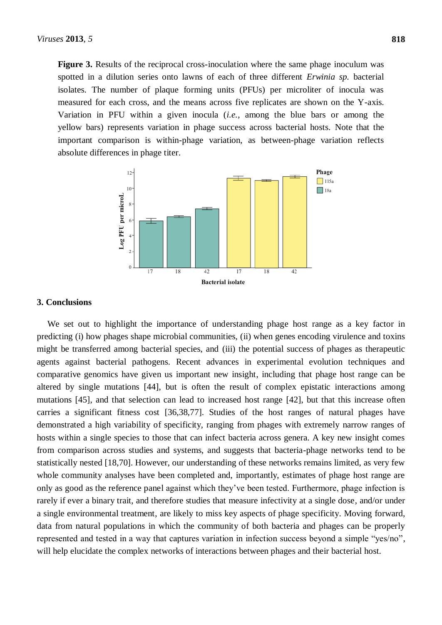**Figure 3.** Results of the reciprocal cross-inoculation where the same phage inoculum was spotted in a dilution series onto lawns of each of three different *Erwinia sp.* bacterial isolates. The number of plaque forming units (PFUs) per microliter of inocula was measured for each cross, and the means across five replicates are shown on the Y-axis. Variation in PFU within a given inocula (*i.e.*, among the blue bars or among the yellow bars) represents variation in phage success across bacterial hosts. Note that the important comparison is within-phage variation, as between-phage variation reflects absolute differences in phage titer.



#### **3. Conclusions**

We set out to highlight the importance of understanding phage host range as a key factor in predicting (i) how phages shape microbial communities, (ii) when genes encoding virulence and toxins might be transferred among bacterial species, and (iii) the potential success of phages as therapeutic agents against bacterial pathogens. Recent advances in experimental evolution techniques and comparative genomics have given us important new insight, including that phage host range can be altered by single mutations [44], but is often the result of complex epistatic interactions among mutations [45], and that selection can lead to increased host range [42], but that this increase often carries a significant fitness cost [36,38,77]. Studies of the host ranges of natural phages have demonstrated a high variability of specificity, ranging from phages with extremely narrow ranges of hosts within a single species to those that can infect bacteria across genera. A key new insight comes from comparison across studies and systems, and suggests that bacteria-phage networks tend to be statistically nested [18,70]. However, our understanding of these networks remains limited, as very few whole community analyses have been completed and, importantly, estimates of phage host range are only as good as the reference panel against which they've been tested. Furthermore, phage infection is rarely if ever a binary trait, and therefore studies that measure infectivity at a single dose, and/or under a single environmental treatment, are likely to miss key aspects of phage specificity. Moving forward, data from natural populations in which the community of both bacteria and phages can be properly represented and tested in a way that captures variation in infection success beyond a simple "yes/no", will help elucidate the complex networks of interactions between phages and their bacterial host.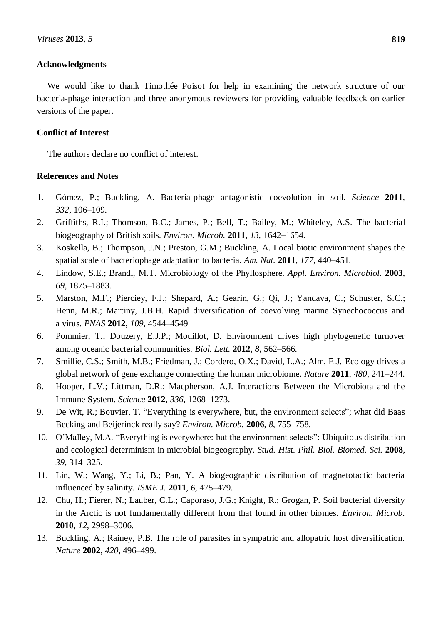## **Acknowledgments**

We would like to thank Timothée Poisot for help in examining the network structure of our bacteria-phage interaction and three anonymous reviewers for providing valuable feedback on earlier versions of the paper.

#### **Conflict of Interest**

The authors declare no conflict of interest.

## **References and Notes**

- 1. Gómez, P.; Buckling, A. Bacteria-phage antagonistic coevolution in soil. *Science* **2011**, *332*, 106–109.
- 2. Griffiths, R.I.; Thomson, B.C.; James, P.; Bell, T.; Bailey, M.; Whiteley, A.S. The bacterial biogeography of British soils. *Environ. Microb.* **2011**, *13*, 1642–1654.
- 3. Koskella, B.; Thompson, J.N.; Preston, G.M.; Buckling, A. Local biotic environment shapes the spatial scale of bacteriophage adaptation to bacteria. *Am. Nat.* **2011**, *177*, 440–451.
- 4. Lindow, S.E.; Brandl, M.T. Microbiology of the Phyllosphere. *Appl. Environ. Microbiol.* **2003**, *69*, 1875–1883.
- 5. Marston, M.F.; Pierciey, F.J.; Shepard, A.; Gearin, G.; Qi, J.; Yandava, C.; Schuster, S.C.; Henn, M.R.; Martiny, J.B.H. Rapid diversification of coevolving marine Synechococcus and a virus. *PNAS* **2012**, *109*, 4544–4549
- 6. Pommier, T.; Douzery, E.J.P.; Mouillot, D. Environment drives high phylogenetic turnover among oceanic bacterial communities. *Biol. Lett.* **2012**, *8*, 562–566.
- 7. Smillie, C.S.; Smith, M.B.; Friedman, J.; Cordero, O.X.; David, L.A.; Alm, E.J. Ecology drives a global network of gene exchange connecting the human microbiome. *Nature* **2011**, *480*, 241–244.
- 8. Hooper, L.V.; Littman, D.R.; Macpherson, A.J. Interactions Between the Microbiota and the Immune System. *Science* **2012**, *336*, 1268–1273.
- 9. De Wit, R.; Bouvier, T. "Everything is everywhere, but, the environment selects"; what did Baas Becking and Beijerinck really say? *Environ. Microb.* **2006**, *8*, 755–758.
- 10. O'Malley, M.A. "Everything is everywhere: but the environment selects": Ubiquitous distribution and ecological determinism in microbial biogeography. *Stud. Hist. Phil. Biol. Biomed. Sci.* **2008**, *39*, 314–325.
- 11. Lin, W.; Wang, Y.; Li, B.; Pan, Y. A biogeographic distribution of magnetotactic bacteria influenced by salinity. *ISME J.* **2011**, *6*, 475–479.
- 12. Chu, H.; Fierer, N.; Lauber, C.L.; Caporaso, J.G.; Knight, R.; Grogan, P. Soil bacterial diversity in the Arctic is not fundamentally different from that found in other biomes. *Environ. Microb.* **2010**, *12*, 2998–3006.
- 13. Buckling, A.; Rainey, P.B. The role of parasites in sympatric and allopatric host diversification. *Nature* **2002**, *420*, 496–499.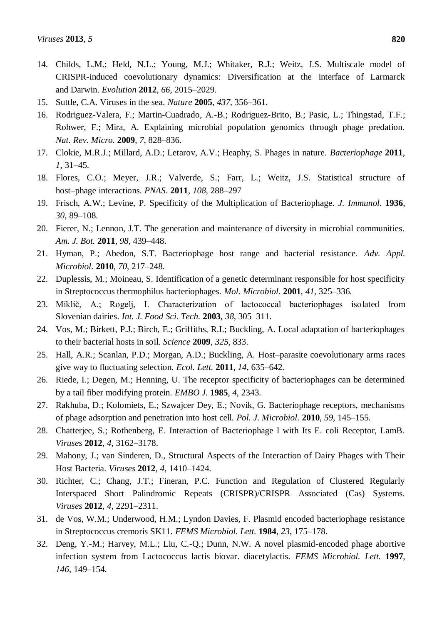- 14. Childs, L.M.; Held, N.L.; Young, M.J.; Whitaker, R.J.; Weitz, J.S. Multiscale model of CRISPR-induced coevolutionary dynamics: Diversification at the interface of Larmarck and Darwin. *Evolution* **2012**, *66*, 2015–2029.
- 15. Suttle, C.A. Viruses in the sea. *Nature* **2005**, *437*, 356–361.
- 16. Rodriguez-Valera, F.; Martin-Cuadrado, A.-B.; Rodriguez-Brito, B.; Pasic, L.; Thingstad, T.F.; Rohwer, F.; Mira, A. Explaining microbial population genomics through phage predation. *Nat. Rev. Micro.* **2009**, *7*, 828–836.
- 17. Clokie, M.R.J.; Millard, A.D.; Letarov, A.V.; Heaphy, S. Phages in nature. *Bacteriophage* **2011**, *1*, 31–45.
- 18. Flores, C.O.; Meyer, J.R.; Valverde, S.; Farr, L.; Weitz, J.S. Statistical structure of host–phage interactions. *PNAS.* **2011**, *108*, 288–297
- 19. Frisch, A.W.; Levine, P. Specificity of the Multiplication of Bacteriophage. *J. Immunol.* **1936**, *30*, 89–108.
- 20. Fierer, N.; Lennon, J.T. The generation and maintenance of diversity in microbial communities. *Am. J. Bot.* **2011**, *98*, 439–448.
- 21. Hyman, P.; Abedon, S.T. Bacteriophage host range and bacterial resistance. *Adv. Appl. Microbiol.* **2010**, *70*, 217–248.
- 22. Duplessis, M.; Moineau, S. Identification of a genetic determinant responsible for host specificity in Streptococcus thermophilus bacteriophages. *Mol. Microbiol.* **2001**, *41*, 325–336.
- 23. Miklič, A.; Rogelj, I. Characterization of lactococcal bacteriophages isolated from Slovenian dairies. *Int. J. Food Sci. Tech.* **2003**, *38*, 305–311.
- 24. Vos, M.; Birkett, P.J.; Birch, E.; Griffiths, R.I.; Buckling, A. Local adaptation of bacteriophages to their bacterial hosts in soil. *Science* **2009**, *325*, 833.
- 25. Hall, A.R.; Scanlan, P.D.; Morgan, A.D.; Buckling, A. Host–parasite coevolutionary arms races give way to fluctuating selection. *Ecol. Lett.* **2011**, *14*, 635–642.
- 26. Riede, I.; Degen, M.; Henning, U. The receptor specificity of bacteriophages can be determined by a tail fiber modifying protein. *EMBO J.* **1985**, *4*, 2343.
- 27. Rakhuba, D.; Kolomiets, E.; Szwajcer Dey, E.; Novik, G. Bacteriophage receptors, mechanisms of phage adsorption and penetration into host cell. *Pol. J. Microbiol.* **2010**, *59*, 145–155.
- 28. Chatterjee, S.; Rothenberg, E. Interaction of Bacteriophage l with Its E. coli Receptor, LamB. *Viruses* **2012**, *4*, 3162–3178.
- 29. Mahony, J.; van Sinderen, D., Structural Aspects of the Interaction of Dairy Phages with Their Host Bacteria. *Viruses* **2012**, *4*, 1410–1424.
- 30. Richter, C.; Chang, J.T.; Fineran, P.C. Function and Regulation of Clustered Regularly Interspaced Short Palindromic Repeats (CRISPR)/CRISPR Associated (Cas) Systems. *Viruses* **2012**, *4*, 2291–2311.
- 31. de Vos, W.M.; Underwood, H.M.; Lyndon Davies, F. Plasmid encoded bacteriophage resistance in Streptococcus cremoris SK11. *FEMS Microbiol. Lett.* **1984**, *23*, 175–178.
- 32. Deng, Y.-M.; Harvey, M.L.; Liu, C.-Q.; Dunn, N.W. A novel plasmid-encoded phage abortive infection system from Lactococcus lactis biovar. diacetylactis. *FEMS Microbiol. Lett.* **1997**, *146*, 149–154.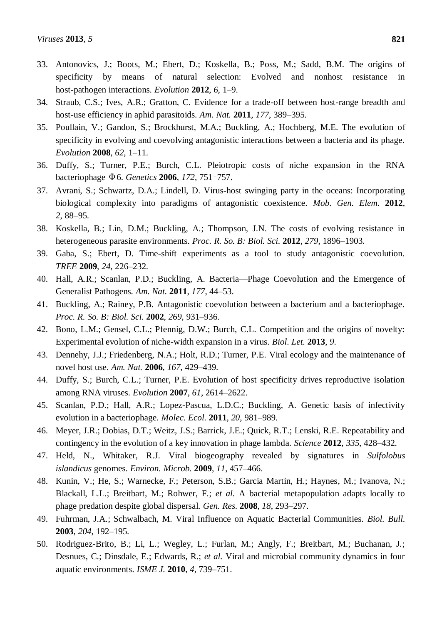- 33. Antonovics, J.; Boots, M.; Ebert, D.; Koskella, B.; Poss, M.; Sadd, B.M. The origins of specificity by means of natural selection: Evolved and nonhost resistance in host-pathogen interactions. *Evolution* **2012**, *6*, 1–9.
- 34. Straub, C.S.; Ives, A.R.; Gratton, C. Evidence for a trade-off between host-range breadth and host-use efficiency in aphid parasitoids. *Am. Nat.* **2011**, *177*, 389–395.
- 35. Poullain, V.; Gandon, S.; Brockhurst, M.A.; Buckling, A.; Hochberg, M.E. The evolution of specificity in evolving and coevolving antagonistic interactions between a bacteria and its phage. *Evolution* **2008**, *62*, 1–11.
- 36. Duffy, S.; Turner, P.E.; Burch, C.L. Pleiotropic costs of niche expansion in the RNA bacteriophage Φ6. *Genetics* **2006**, *172*, 751–757.
- 37. Avrani, S.; Schwartz, D.A.; Lindell, D. Virus-host swinging party in the oceans: Incorporating biological complexity into paradigms of antagonistic coexistence. *Mob. Gen. Elem.* **2012**, *2*, 88–95.
- 38. Koskella, B.; Lin, D.M.; Buckling, A.; Thompson, J.N. The costs of evolving resistance in heterogeneous parasite environments. *Proc. R. So. B: Biol. Sci.* **2012**, *279*, 1896–1903.
- 39. Gaba, S.; Ebert, D. Time-shift experiments as a tool to study antagonistic coevolution. *TREE* **2009**, *24*, 226–232.
- 40. Hall, A.R.; Scanlan, P.D.; Buckling, A. Bacteria—Phage Coevolution and the Emergence of Generalist Pathogens. *Am. Nat.* **2011**, *177*, 44–53.
- 41. Buckling, A.; Rainey, P.B. Antagonistic coevolution between a bacterium and a bacteriophage. *Proc. R. So. B: Biol. Sci.* **2002**, *269*, 931–936.
- 42. Bono, L.M.; Gensel, C.L.; Pfennig, D.W.; Burch, C.L. Competition and the origins of novelty: Experimental evolution of niche-width expansion in a virus. *Biol. Let.* **2013**, *9*.
- 43. Dennehy, J.J.; Friedenberg, N.A.; Holt, R.D.; Turner, P.E. Viral ecology and the maintenance of novel host use. *Am. Nat.* **2006**, *167*, 429–439.
- 44. Duffy, S.; Burch, C.L.; Turner, P.E. Evolution of host specificity drives reproductive isolation among RNA viruses. *Evolution* **2007**, *61*, 2614–2622.
- 45. Scanlan, P.D.; Hall, A.R.; Lopez-Pascua, L.D.C.; Buckling, A. Genetic basis of infectivity evolution in a bacteriophage. *Molec. Ecol.* **2011**, *20*, 981–989.
- 46. Meyer, J.R.; Dobias, D.T.; Weitz, J.S.; Barrick, J.E.; Quick, R.T.; Lenski, R.E. Repeatability and contingency in the evolution of a key innovation in phage lambda. *Science* **2012**, *335*, 428–432.
- 47. Held, N., Whitaker, R.J. Viral biogeography revealed by signatures in *Sulfolobus islandicus* genomes. *Environ. Microb.* **2009**, *11*, 457–466.
- 48. Kunin, V.; He, S.; Warnecke, F.; Peterson, S.B.; Garcia Martin, H.; Haynes, M.; Ivanova, N.; Blackall, L.L.; Breitbart, M.; Rohwer, F.; *et al.* A bacterial metapopulation adapts locally to phage predation despite global dispersal. *Gen. Res.* **2008**, *18*, 293–297.
- 49. Fuhrman, J.A.; Schwalbach, M. Viral Influence on Aquatic Bacterial Communities. *Biol. Bull.* **2003**, *204*, 192–195.
- 50. Rodriguez-Brito, B.; Li, L.; Wegley, L.; Furlan, M.; Angly, F.; Breitbart, M.; Buchanan, J.; Desnues, C.; Dinsdale, E.; Edwards, R.; *et al.* Viral and microbial community dynamics in four aquatic environments. *ISME J.* **2010**, *4*, 739–751.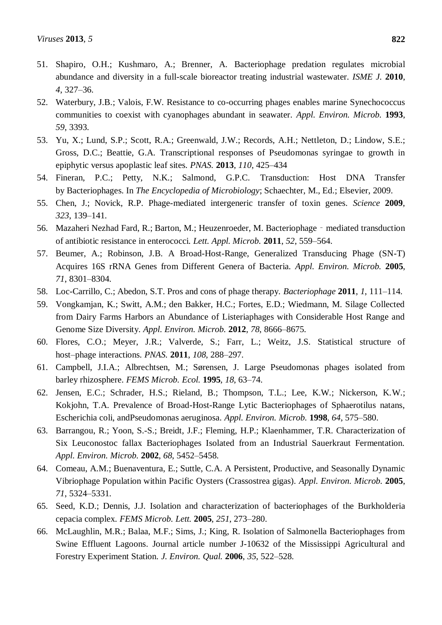- 51. Shapiro, O.H.; Kushmaro, A.; Brenner, A. Bacteriophage predation regulates microbial abundance and diversity in a full-scale bioreactor treating industrial wastewater. *ISME J.* **2010**, *4*, 327–36.
- 52. Waterbury, J.B.; Valois, F.W. Resistance to co-occurring phages enables marine Synechococcus communities to coexist with cyanophages abundant in seawater. *Appl. Environ. Microb.* **1993**, *59*, 3393.
- 53. Yu, X.; Lund, S.P.; Scott, R.A.; Greenwald, J.W.; Records, A.H.; Nettleton, D.; Lindow, S.E.; Gross, D.C.; Beattie, G.A. Transcriptional responses of Pseudomonas syringae to growth in epiphytic versus apoplastic leaf sites. *PNAS.* **2013**, *110*, 425–434
- 54. Fineran, P.C.; Petty, N.K.; Salmond, G.P.C. Transduction: Host DNA Transfer by Bacteriophages. In *The Encyclopedia of Microbiology*; Schaechter, M., Ed.; Elsevier, 2009.
- 55. Chen, J.; Novick, R.P. Phage-mediated intergeneric transfer of toxin genes. *Science* **2009**, *323*, 139–141.
- 56. Mazaheri Nezhad Fard, R.; Barton, M.; Heuzenroeder, M. Bacteriophage mediated transduction of antibiotic resistance in enterococci. *Lett. Appl. Microb.* **2011**, *52*, 559–564.
- 57. Beumer, A.; Robinson, J.B. A Broad-Host-Range, Generalized Transducing Phage (SN-T) Acquires 16S rRNA Genes from Different Genera of Bacteria. *Appl. Environ. Microb.* **2005**, *71*, 8301–8304.
- 58. Loc-Carrillo, C.; Abedon, S.T. Pros and cons of phage therapy. *Bacteriophage* **2011**, *1*, 111–114.
- 59. Vongkamjan, K.; Switt, A.M.; den Bakker, H.C.; Fortes, E.D.; Wiedmann, M. Silage Collected from Dairy Farms Harbors an Abundance of Listeriaphages with Considerable Host Range and Genome Size Diversity. *Appl. Environ. Microb.* **2012**, *78*, 8666–8675.
- 60. Flores, C.O.; Meyer, J.R.; Valverde, S.; Farr, L.; Weitz, J.S. Statistical structure of host–phage interactions. *PNAS.* **2011**, *108*, 288–297.
- 61. Campbell, J.I.A.; Albrechtsen, M.; Sørensen, J. Large Pseudomonas phages isolated from barley rhizosphere. *FEMS Microb. Ecol.* **1995**, *18*, 63–74.
- 62. Jensen, E.C.; Schrader, H.S.; Rieland, B.; Thompson, T.L.; Lee, K.W.; Nickerson, K.W.; Kokjohn, T.A. Prevalence of Broad-Host-Range Lytic Bacteriophages of Sphaerotilus natans, Escherichia coli, andPseudomonas aeruginosa. *Appl. Environ. Microb.* **1998**, *64*, 575–580.
- 63. Barrangou, R.; Yoon, S.-S.; Breidt, J.F.; Fleming, H.P.; Klaenhammer, T.R. Characterization of Six Leuconostoc fallax Bacteriophages Isolated from an Industrial Sauerkraut Fermentation. *Appl. Environ. Microb.* **2002**, *68*, 5452–5458.
- 64. Comeau, A.M.; Buenaventura, E.; Suttle, C.A. A Persistent, Productive, and Seasonally Dynamic Vibriophage Population within Pacific Oysters (Crassostrea gigas). *Appl. Environ. Microb.* **2005**, *71*, 5324–5331.
- 65. Seed, K.D.; Dennis, J.J. Isolation and characterization of bacteriophages of the Burkholderia cepacia complex. *FEMS Microb. Lett.* **2005**, *251*, 273–280.
- 66. McLaughlin, M.R.; Balaa, M.F.; Sims, J.; King, R. Isolation of Salmonella Bacteriophages from Swine Effluent Lagoons. Journal article number J-10632 of the Mississippi Agricultural and Forestry Experiment Station. *J. Environ. Qual.* **2006**, *35*, 522–528.